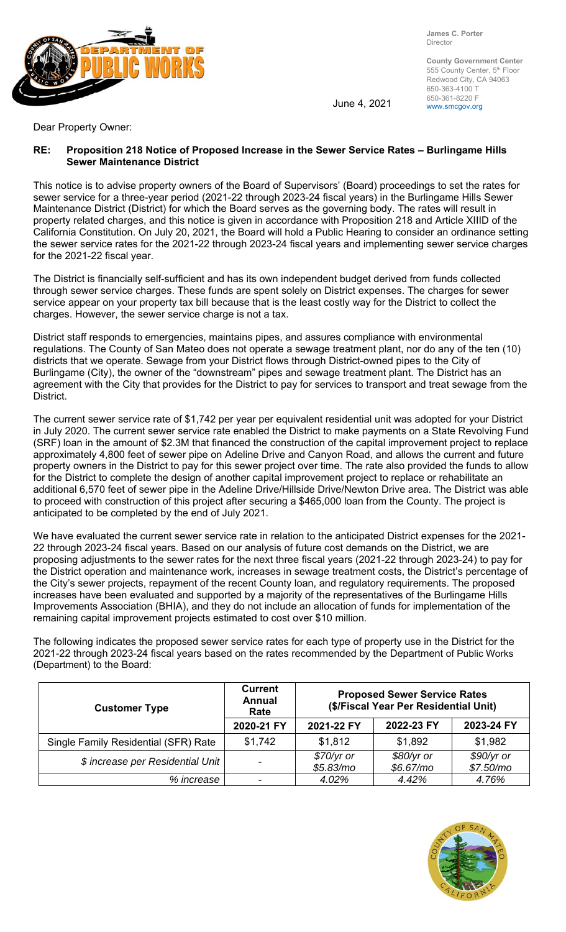

**James C. Porter**  Director

**County Government Center**  555 County Center, 5<sup>th</sup> Floor Redwood City, CA 94063 650-363-4100 T 650-361-8220 F

June 4, 2021  $\frac{630-301-6220}{www.smcgov.org}$ 

Dear Property Owner:

## **RE: Proposition 218 Notice of Proposed Increase in the Sewer Service Rates – Burlingame Hills Sewer Maintenance District**

This notice is to advise property owners of the Board of Supervisors' (Board) proceedings to set the rates for sewer service for a three-year period (2021-22 through 2023-24 fiscal years) in the Burlingame Hills Sewer Maintenance District (District) for which the Board serves as the governing body. The rates will result in property related charges, and this notice is given in accordance with Proposition 218 and Article XIIID of the California Constitution. On July 20, 2021, the Board will hold a Public Hearing to consider an ordinance setting the sewer service rates for the 2021-22 through 2023-24 fiscal years and implementing sewer service charges for the 2021-22 fiscal year.

The District is financially self-sufficient and has its own independent budget derived from funds collected through sewer service charges. These funds are spent solely on District expenses. The charges for sewer service appear on your property tax bill because that is the least costly way for the District to collect the charges. However, the sewer service charge is not a tax.

District staff responds to emergencies, maintains pipes, and assures compliance with environmental regulations. The County of San Mateo does not operate a sewage treatment plant, nor do any of the ten (10) districts that we operate. Sewage from your District flows through District-owned pipes to the City of Burlingame (City), the owner of the "downstream" pipes and sewage treatment plant. The District has an agreement with the City that provides for the District to pay for services to transport and treat sewage from the District.

The current sewer service rate of \$1,742 per year per equivalent residential unit was adopted for your District in July 2020. The current sewer service rate enabled the District to make payments on a State Revolving Fund (SRF) loan in the amount of \$2.3M that financed the construction of the capital improvement project to replace approximately 4,800 feet of sewer pipe on Adeline Drive and Canyon Road, and allows the current and future property owners in the District to pay for this sewer project over time. The rate also provided the funds to allow for the District to complete the design of another capital improvement project to replace or rehabilitate an additional 6,570 feet of sewer pipe in the Adeline Drive/Hillside Drive/Newton Drive area. The District was able to proceed with construction of this project after securing a \$465,000 loan from the County. The project is anticipated to be completed by the end of July 2021.

We have evaluated the current sewer service rate in relation to the anticipated District expenses for the 2021- 22 through 2023-24 fiscal years. Based on our analysis of future cost demands on the District, we are proposing adjustments to the sewer rates for the next three fiscal years (2021-22 through 2023-24) to pay for the District operation and maintenance work, increases in sewage treatment costs, the District's percentage of the City's sewer projects, repayment of the recent County loan, and regulatory requirements. The proposed increases have been evaluated and supported by a majority of the representatives of the Burlingame Hills Improvements Association (BHIA), and they do not include an allocation of funds for implementation of the remaining capital improvement projects estimated to cost over \$10 million.

The following indicates the proposed sewer service rates for each type of property use in the District for the 2021-22 through 2023-24 fiscal years based on the rates recommended by the Department of Public Works (Department) to the Board:

| <b>Customer Type</b>                 | <b>Current</b><br><b>Annual</b><br>Rate | <b>Proposed Sewer Service Rates</b><br>(\$/Fiscal Year Per Residential Unit) |                         |                         |  |
|--------------------------------------|-----------------------------------------|------------------------------------------------------------------------------|-------------------------|-------------------------|--|
|                                      | 2020-21 FY                              | 2021-22 FY                                                                   | 2022-23 FY              | 2023-24 FY              |  |
| Single Family Residential (SFR) Rate | \$1,742                                 | \$1,812                                                                      | \$1,892                 | \$1,982                 |  |
| \$ increase per Residential Unit     |                                         | $$70/yr$ or<br>\$5.83/m0                                                     | \$80/yr or<br>\$6.67/mo | \$90/yr or<br>\$7.50/m0 |  |
| % increase                           |                                         | 4.02%                                                                        | 4.42%                   | 4.76%                   |  |